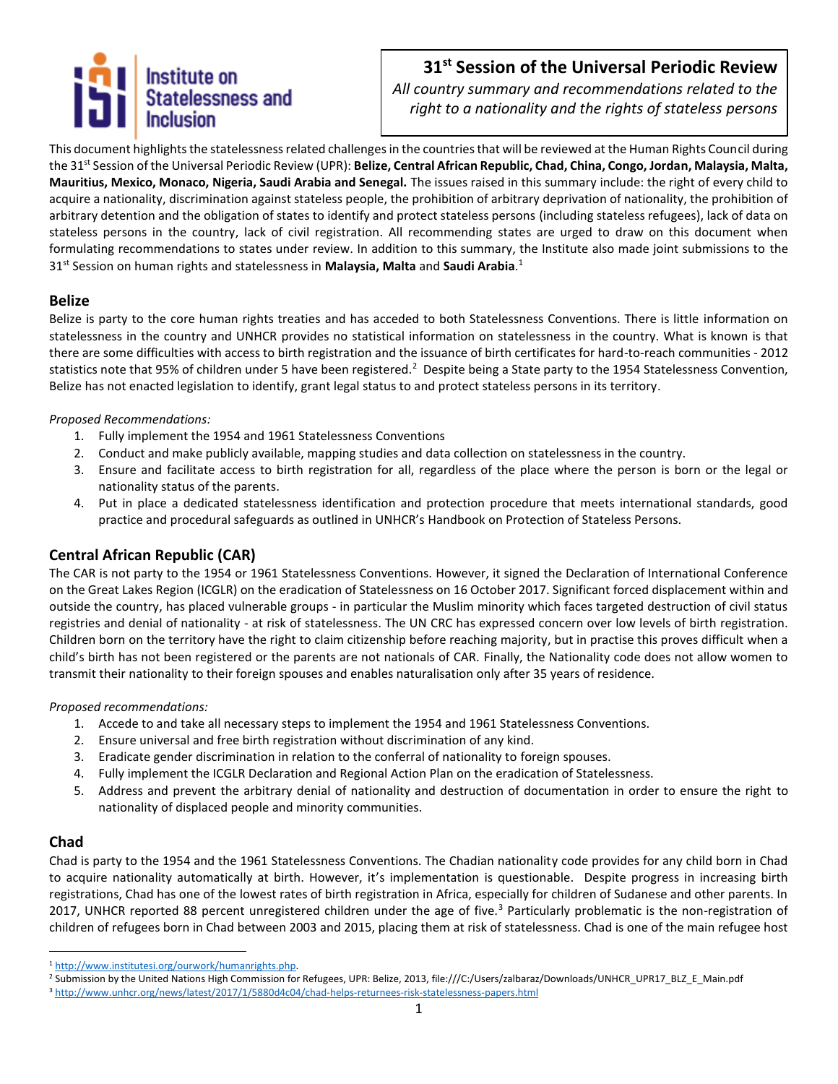# Institute on<br>Statelessness and

# **31 st Session of the Universal Periodic Review**

*All country summary and recommendations related to the right to a nationality and the rights of stateless persons*

This document highlights the statelessness related challenges in the countries that will be reviewed at the Human Rights Council during the 31<sup>st</sup> Session of the Universal Periodic Review (UPR): **Belize, Central African Republic, Chad, China, Congo, Jordan, Malaysia, Malta, Mauritius, Mexico, Monaco, Nigeria, Saudi Arabia and Senegal.** The issues raised in this summary include: the right of every child to acquire a nationality, discrimination against stateless people, the prohibition of arbitrary deprivation of nationality, the prohibition of arbitrary detention and the obligation of states to identify and protect stateless persons (including stateless refugees), lack of data on stateless persons in the country, lack of civil registration. All recommending states are urged to draw on this document when formulating recommendations to states under review. In addition to this summary, the Institute also made joint submissions to the 31 st Session on human rights and statelessness in **Malaysia, Malta** and **Saudi Arabia**. 1

# **Belize**

Belize is party to the core human rights treaties and has acceded to both Statelessness Conventions. There is little information on statelessness in the country and UNHCR provides no statistical information on statelessness in the country. What is known is that there are some difficulties with access to birth registration and the issuance of birth certificates for hard-to-reach communities - 2012 statistics note that 95% of children under 5 have been registered.<sup>2</sup> Despite being a State party to the 1954 Statelessness Convention, Belize has not enacted legislation to identify, grant legal status to and protect stateless persons in its territory.

# *Proposed Recommendations:*

- 1. Fully implement the 1954 and 1961 Statelessness Conventions
- 2. Conduct and make publicly available, mapping studies and data collection on statelessness in the country.
- 3. Ensure and facilitate access to birth registration for all, regardless of the place where the person is born or the legal or nationality status of the parents.
- 4. Put in place a dedicated statelessness identification and protection procedure that meets international standards, good practice and procedural safeguards as outlined in UNHCR's Handbook on Protection of Stateless Persons.

# **Central African Republic (CAR)**

The CAR is not party to the 1954 or 1961 Statelessness Conventions. However, it signed the Declaration of International Conference on the Great Lakes Region (ICGLR) on the eradication of Statelessness on 16 October 2017. Significant forced displacement within and outside the country, has placed vulnerable groups - in particular the Muslim minority which faces targeted destruction of civil status registries and denial of nationality - at risk of statelessness. The UN CRC has expressed concern over low levels of birth registration. Children born on the territory have the right to claim citizenship before reaching majority, but in practise this proves difficult when a child's birth has not been registered or the parents are not nationals of CAR. Finally, the Nationality code does not allow women to transmit their nationality to their foreign spouses and enables naturalisation only after 35 years of residence.

### *Proposed recommendations:*

- 1. Accede to and take all necessary steps to implement the 1954 and 1961 Statelessness Conventions.
- 2. Ensure universal and free birth registration without discrimination of any kind.
- 3. Eradicate gender discrimination in relation to the conferral of nationality to foreign spouses.
- 4. Fully implement the ICGLR Declaration and Regional Action Plan on the eradication of Statelessness.
- 5. Address and prevent the arbitrary denial of nationality and destruction of documentation in order to ensure the right to nationality of displaced people and minority communities.

# **Chad**

 $\overline{\phantom{a}}$ 

Chad is party to the 1954 and the 1961 Statelessness Conventions. The Chadian nationality code provides for any child born in Chad to acquire nationality automatically at birth. However, it's implementation is questionable. Despite progress in increasing birth registrations, Chad has one of the lowest rates of birth registration in Africa, especially for children of Sudanese and other parents. In 2017, UNHCR reported 88 percent unregistered children under the age of five.<sup>3</sup> Particularly problematic is the non-registration of children of refugees born in Chad between 2003 and 2015, placing them at risk of statelessness. Chad is one of the main refugee host

<sup>1</sup> [http://www.institutesi.org/ourwork/humanrights.php.](http://www.institutesi.org/ourwork/humanrights.php)

<sup>&</sup>lt;sup>2</sup> Submission by the United Nations High Commission for Refugees, UPR: Belize, 2013, file:///C:/Users/zalbaraz/Downloads/UNHCR\_UPR17\_BLZ\_E\_Main.pdf <sup>3</sup> <http://www.unhcr.org/news/latest/2017/1/5880d4c04/chad-helps-returnees-risk-statelessness-papers.html>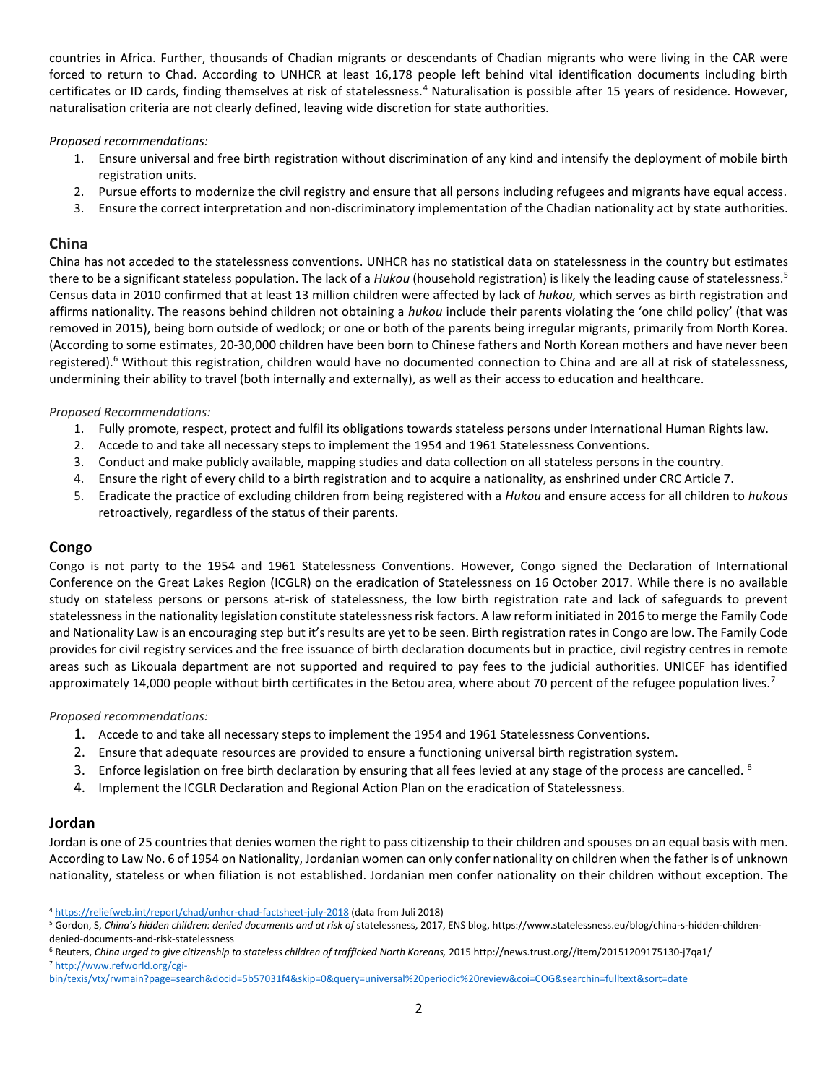countries in Africa. Further, thousands of Chadian migrants or descendants of Chadian migrants who were living in the CAR were forced to return to Chad. According to UNHCR at least 16,178 people left behind vital identification documents including birth certificates or ID cards, finding themselves at risk of statelessness.<sup>4</sup> Naturalisation is possible after 15 years of residence. However, naturalisation criteria are not clearly defined, leaving wide discretion for state authorities.

## *Proposed recommendations:*

- 1. Ensure universal and free birth registration without discrimination of any kind and intensify the deployment of mobile birth registration units.
- 2. Pursue efforts to modernize the civil registry and ensure that all persons including refugees and migrants have equal access.
- 3. Ensure the correct interpretation and non-discriminatory implementation of the Chadian nationality act by state authorities.

# **China**

China has not acceded to the statelessness conventions. UNHCR has no statistical data on statelessness in the country but estimates there to be a significant stateless population. The lack of a *Hukou* (household registration) is likely the leading cause of statelessness. 5 Census data in 2010 confirmed that at least 13 million children were affected by lack of *hukou,* which serves as birth registration and affirms nationality. The reasons behind children not obtaining a *hukou* include their parents violating the 'one child policy' (that was removed in 2015), being born outside of wedlock; or one or both of the parents being irregular migrants, primarily from North Korea. (According to some estimates, 20-30,000 children have been born to Chinese fathers and North Korean mothers and have never been registered).<sup>6</sup> Without this registration, children would have no documented connection to China and are all at risk of statelessness, undermining their ability to travel (both internally and externally), as well as their access to education and healthcare.

# *Proposed Recommendations:*

- 1. Fully promote, respect, protect and fulfil its obligations towards stateless persons under International Human Rights law.
- 2. Accede to and take all necessary steps to implement the 1954 and 1961 Statelessness Conventions.
- 3. Conduct and make publicly available, mapping studies and data collection on all stateless persons in the country.
- 4. Ensure the right of every child to a birth registration and to acquire a nationality, as enshrined under CRC Article 7.
- 5. Eradicate the practice of excluding children from being registered with a *Hukou* and ensure access for all children to *hukous* retroactively, regardless of the status of their parents.

# **Congo**

Congo is not party to the 1954 and 1961 Statelessness Conventions. However, Congo signed the Declaration of International Conference on the Great Lakes Region (ICGLR) on the eradication of Statelessness on 16 October 2017. While there is no available study on stateless persons or persons at-risk of statelessness, the low birth registration rate and lack of safeguards to prevent statelessness in the nationality legislation constitute statelessness risk factors. A law reform initiated in 2016 to merge the Family Code and Nationality Law is an encouraging step but it's results are yet to be seen. Birth registration rates in Congo are low. The Family Code provides for civil registry services and the free issuance of birth declaration documents but in practice, civil registry centres in remote areas such as Likouala department are not supported and required to pay fees to the judicial authorities. UNICEF has identified approximately 14,000 people without birth certificates in the Betou area, where about 70 percent of the refugee population lives.<sup>7</sup>

### *Proposed recommendations:*

- 1. Accede to and take all necessary steps to implement the 1954 and 1961 Statelessness Conventions.
- 2. Ensure that adequate resources are provided to ensure a functioning universal birth registration system.
- 3. Enforce legislation on free birth declaration by ensuring that all fees levied at any stage of the process are cancelled. <sup>8</sup>
- 4. Implement the ICGLR Declaration and Regional Action Plan on the eradication of Statelessness.

# **Jordan**

 $\overline{\phantom{a}}$ 

Jordan is one of 25 countries that denies women the right to pass citizenship to their children and spouses on an equal basis with men. According to Law No. 6 of 1954 on Nationality, Jordanian women can only confer nationality on children when the father is of unknown nationality, stateless or when filiation is not established. Jordanian men confer nationality on their children without exception. The

<sup>4</sup> <https://reliefweb.int/report/chad/unhcr-chad-factsheet-july-2018> (data from Juli 2018)

<sup>5</sup> Gordon, S, *China's hidden children: denied documents and at risk of* statelessness, 2017, ENS blog, https://www.statelessness.eu/blog/china-s-hidden-childrendenied-documents-and-risk-statelessness

<sup>&</sup>lt;sup>6</sup> Reuters, China urged to give citizenship to stateless children of trafficked North Koreans, 2015 http://news.trust.org//item/20151209175130-j7qa1/ <sup>7</sup> [http://www.refworld.org/cgi-](http://www.refworld.org/cgi-bin/texis/vtx/rwmain?page=search&docid=5b57031f4&skip=0&query=universal%20periodic%20review&coi=COG&searchin=fulltext&sort=date)

[bin/texis/vtx/rwmain?page=search&docid=5b57031f4&skip=0&query=universal%20periodic%20review&coi=COG&searchin=fulltext&sort=date](http://www.refworld.org/cgi-bin/texis/vtx/rwmain?page=search&docid=5b57031f4&skip=0&query=universal%20periodic%20review&coi=COG&searchin=fulltext&sort=date)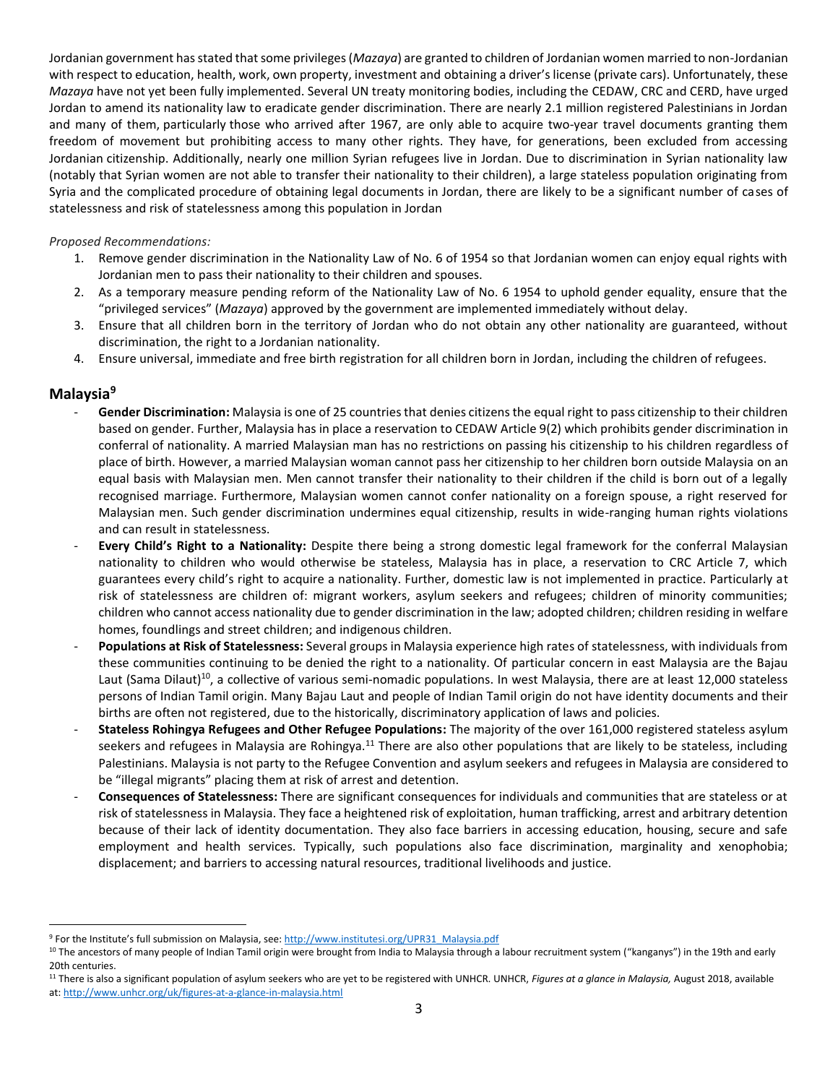Jordanian government has stated that some privileges (*Mazaya*) are granted to children of Jordanian women married to non-Jordanian with respect to education, health, work, own property, investment and obtaining a driver's license (private cars). Unfortunately, these *Mazaya* have not yet been fully implemented. Several UN treaty monitoring bodies, including the CEDAW, CRC and CERD, have urged Jordan to amend its nationality law to eradicate gender discrimination. There are nearly 2.1 million registered Palestinians in Jordan and many of them, particularly those who arrived after 1967, are only able to acquire two-year travel documents granting them freedom of movement but prohibiting access to many other rights. They have, for generations, been excluded from accessing Jordanian citizenship. Additionally, nearly one million Syrian refugees live in Jordan. Due to discrimination in Syrian nationality law (notably that Syrian women are not able to transfer their nationality to their children), a large stateless population originating from Syria and the complicated procedure of obtaining legal documents in Jordan, there are likely to be a significant number of cases of statelessness and risk of statelessness among this population in Jordan

### *Proposed Recommendations:*

- 1. Remove gender discrimination in the Nationality Law of No. 6 of 1954 so that Jordanian women can enjoy equal rights with Jordanian men to pass their nationality to their children and spouses.
- 2. As a temporary measure pending reform of the Nationality Law of No. 6 1954 to uphold gender equality, ensure that the "privileged services" (*Mazaya*) approved by the government are implemented immediately without delay.
- 3. Ensure that all children born in the territory of Jordan who do not obtain any other nationality are guaranteed, without discrimination, the right to a Jordanian nationality.
- 4. Ensure universal, immediate and free birth registration for all children born in Jordan, including the children of refugees.

# **Malaysia<sup>9</sup>**

l

- Gender Discrimination: Malaysia is one of 25 countries that denies citizens the equal right to pass citizenship to their children based on gender. Further, Malaysia has in place a reservation to CEDAW Article 9(2) which prohibits gender discrimination in conferral of nationality. A married Malaysian man has no restrictions on passing his citizenship to his children regardless of place of birth. However, a married Malaysian woman cannot pass her citizenship to her children born outside Malaysia on an equal basis with Malaysian men. Men cannot transfer their nationality to their children if the child is born out of a legally recognised marriage. Furthermore, Malaysian women cannot confer nationality on a foreign spouse, a right reserved for Malaysian men. Such gender discrimination undermines equal citizenship, results in wide-ranging human rights violations and can result in statelessness.
- **Every Child's Right to a Nationality:** Despite there being a strong domestic legal framework for the conferral Malaysian nationality to children who would otherwise be stateless, Malaysia has in place, a reservation to CRC Article 7, which guarantees every child's right to acquire a nationality. Further, domestic law is not implemented in practice. Particularly at risk of statelessness are children of: migrant workers, asylum seekers and refugees; children of minority communities; children who cannot access nationality due to gender discrimination in the law; adopted children; children residing in welfare homes, foundlings and street children; and indigenous children.
- **Populations at Risk of Statelessness:** Several groups in Malaysia experience high rates of statelessness, with individuals from these communities continuing to be denied the right to a nationality. Of particular concern in east Malaysia are the Bajau Laut (Sama Dilaut)<sup>10</sup>, a collective of various semi-nomadic populations. In west Malaysia, there are at least 12,000 stateless persons of Indian Tamil origin. Many Bajau Laut and people of Indian Tamil origin do not have identity documents and their births are often not registered, due to the historically, discriminatory application of laws and policies.
- **Stateless Rohingya Refugees and Other Refugee Populations:** The majority of the over 161,000 registered stateless asylum seekers and refugees in Malaysia are Rohingya.<sup>11</sup> There are also other populations that are likely to be stateless, including Palestinians. Malaysia is not party to the Refugee Convention and asylum seekers and refugees in Malaysia are considered to be "illegal migrants" placing them at risk of arrest and detention.
- **Consequences of Statelessness:** There are significant consequences for individuals and communities that are stateless or at risk of statelessness in Malaysia. They face a heightened risk of exploitation, human trafficking, arrest and arbitrary detention because of their lack of identity documentation. They also face barriers in accessing education, housing, secure and safe employment and health services. Typically, such populations also face discrimination, marginality and xenophobia; displacement; and barriers to accessing natural resources, traditional livelihoods and justice.

<sup>9</sup> For the Institute's full submission on Malaysia, see: [http://www.institutesi.org/UPR31\\_Malaysia.pdf](http://www.institutesi.org/UPR31_Malaysia.pdf)

<sup>&</sup>lt;sup>10</sup> The ancestors of many people of Indian Tamil origin were brought from India to Malaysia through a labour recruitment system ("kanganys") in the 19th and early 20th centuries.

<sup>&</sup>lt;sup>11</sup> There is also a significant population of asylum seekers who are yet to be registered with UNHCR. UNHCR, Figures at a glance in Malaysia, August 2018, available at[: http://www.unhcr.org/uk/figures-at-a-glance-in-malaysia.html](http://www.unhcr.org/uk/figures-at-a-glance-in-malaysia.html)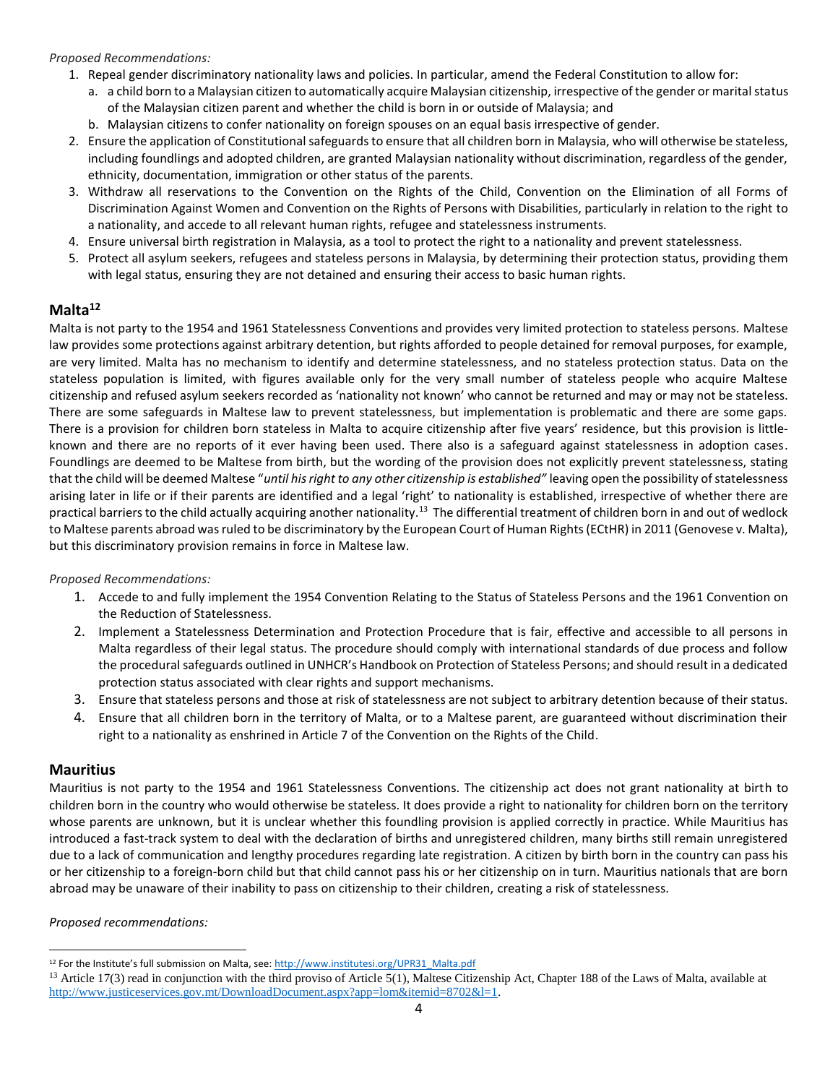#### *Proposed Recommendations:*

- 1. Repeal gender discriminatory nationality laws and policies. In particular, amend the Federal Constitution to allow for:
	- a. a child born to a Malaysian citizen to automatically acquire Malaysian citizenship, irrespective of the gender or marital status of the Malaysian citizen parent and whether the child is born in or outside of Malaysia; and
	- b. Malaysian citizens to confer nationality on foreign spouses on an equal basis irrespective of gender.
- 2. Ensure the application of Constitutional safeguards to ensure that all children born in Malaysia, who will otherwise be stateless, including foundlings and adopted children, are granted Malaysian nationality without discrimination, regardless of the gender, ethnicity, documentation, immigration or other status of the parents.
- 3. Withdraw all reservations to the Convention on the Rights of the Child, Convention on the Elimination of all Forms of Discrimination Against Women and Convention on the Rights of Persons with Disabilities, particularly in relation to the right to a nationality, and accede to all relevant human rights, refugee and statelessness instruments.
- 4. Ensure universal birth registration in Malaysia, as a tool to protect the right to a nationality and prevent statelessness.
- 5. Protect all asylum seekers, refugees and stateless persons in Malaysia, by determining their protection status, providing them with legal status, ensuring they are not detained and ensuring their access to basic human rights.

# **Malta<sup>12</sup>**

Malta is not party to the 1954 and 1961 Statelessness Conventions and provides very limited protection to stateless persons. Maltese law provides some protections against arbitrary detention, but rights afforded to people detained for removal purposes, for example, are very limited. Malta has no mechanism to identify and determine statelessness, and no stateless protection status. Data on the stateless population is limited, with figures available only for the very small number of stateless people who acquire Maltese citizenship and refused asylum seekers recorded as 'nationality not known' who cannot be returned and may or may not be stateless. There are some safeguards in Maltese law to prevent statelessness, but implementation is problematic and there are some gaps. There is a provision for children born stateless in Malta to acquire citizenship after five years' residence, but this provision is littleknown and there are no reports of it ever having been used. There also is a safeguard against statelessness in adoption cases. Foundlings are deemed to be Maltese from birth, but the wording of the provision does not explicitly prevent statelessness, stating that the child will be deemed Maltese "*until his right to any other citizenship is established"* leaving open the possibility of statelessness arising later in life or if their parents are identified and a legal 'right' to nationality is established, irrespective of whether there are practical barriers to the child actually acquiring another nationality.<sup>13</sup> The differential treatment of children born in and out of wedlock to Maltese parents abroad was ruled to be discriminatory by the European Court of Human Rights (ECtHR) in 2011 (Genovese v. Malta), but this discriminatory provision remains in force in Maltese law.

### *Proposed Recommendations:*

- 1. Accede to and fully implement the 1954 Convention Relating to the Status of Stateless Persons and the 1961 Convention on the Reduction of Statelessness.
- 2. Implement a Statelessness Determination and Protection Procedure that is fair, effective and accessible to all persons in Malta regardless of their legal status. The procedure should comply with international standards of due process and follow the procedural safeguards outlined in UNHCR's Handbook on Protection of Stateless Persons; and should result in a dedicated protection status associated with clear rights and support mechanisms.
- 3. Ensure that stateless persons and those at risk of statelessness are not subject to arbitrary detention because of their status.
- 4. Ensure that all children born in the territory of Malta, or to a Maltese parent, are guaranteed without discrimination their right to a nationality as enshrined in Article 7 of the Convention on the Rights of the Child.

### **Mauritius**

Mauritius is not party to the 1954 and 1961 Statelessness Conventions. The citizenship act does not grant nationality at birth to children born in the country who would otherwise be stateless. It does provide a right to nationality for children born on the territory whose parents are unknown, but it is unclear whether this foundling provision is applied correctly in practice. While Mauritius has introduced a fast-track system to deal with the declaration of births and unregistered children, many births still remain unregistered due to a lack of communication and lengthy procedures regarding late registration. A citizen by birth born in the country can pass his or her citizenship to a foreign-born child but that child cannot pass his or her citizenship on in turn. Mauritius nationals that are born abroad may be unaware of their inability to pass on citizenship to their children, creating a risk of statelessness.

### *Proposed recommendations:*

 $\overline{a}$ <sup>12</sup> For the Institute's full submission on Malta, see: [http://www.institutesi.org/UPR31\\_Malta.pdf](http://www.institutesi.org/UPR31_Malta.pdf)

<sup>&</sup>lt;sup>13</sup> Article 17(3) read in conjunction with the third proviso of Article 5(1), Maltese Citizenship Act, Chapter 188 of the Laws of Malta, available at [http://www.justiceservices.gov.mt/DownloadDocument.aspx?app=lom&itemid=8702&l=1.](http://www.justiceservices.gov.mt/DownloadDocument.aspx?app=lom&itemid=8702&l=1)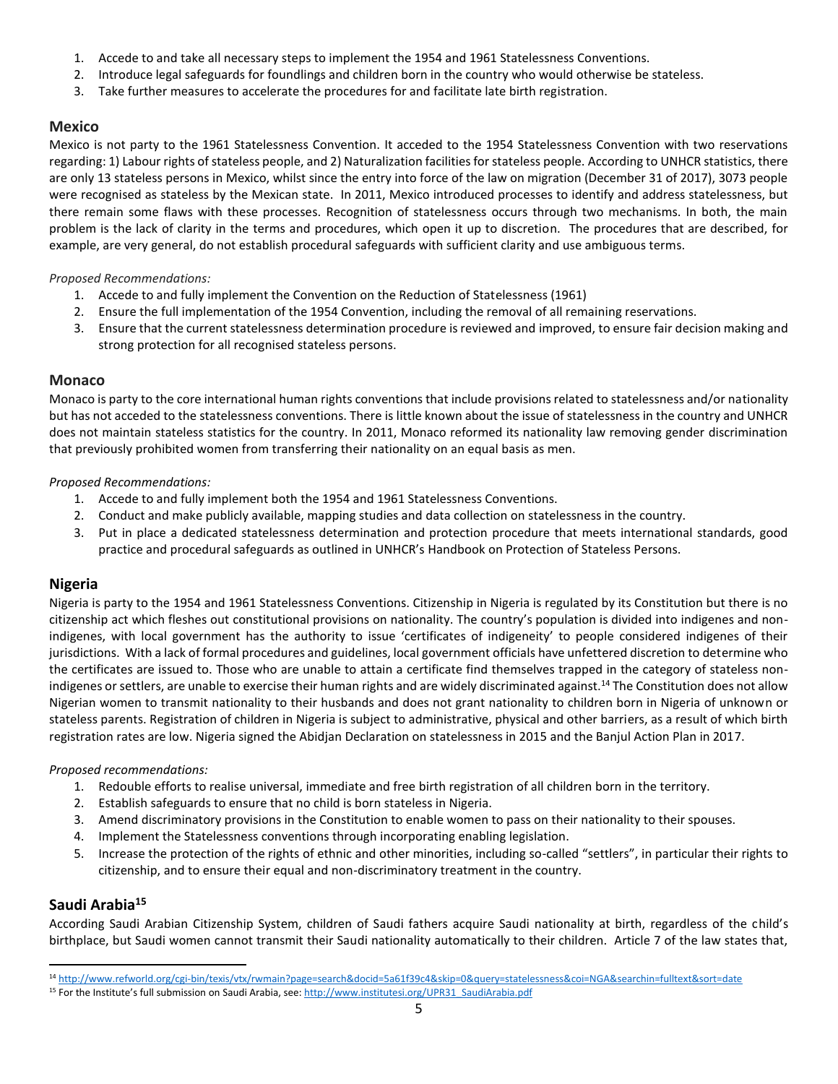- 1. Accede to and take all necessary steps to implement the 1954 and 1961 Statelessness Conventions.
- 2. Introduce legal safeguards for foundlings and children born in the country who would otherwise be stateless.
- 3. Take further measures to accelerate the procedures for and facilitate late birth registration.

# **Mexico**

Mexico is not party to the 1961 Statelessness Convention. It acceded to the 1954 Statelessness Convention with two reservations regarding: 1) Labour rights of stateless people, and 2) Naturalization facilities for stateless people. According to UNHCR statistics, there are only 13 stateless persons in Mexico, whilst since the entry into force of the law on migration (December 31 of 2017), 3073 people were recognised as stateless by the Mexican state. In 2011, Mexico introduced processes to identify and address statelessness, but there remain some flaws with these processes. Recognition of statelessness occurs through two mechanisms. In both, the main problem is the lack of clarity in the terms and procedures, which open it up to discretion. The procedures that are described, for example, are very general, do not establish procedural safeguards with sufficient clarity and use ambiguous terms.

### *Proposed Recommendations:*

- 1. Accede to and fully implement the Convention on the Reduction of Statelessness (1961)
- 2. Ensure the full implementation of the 1954 Convention, including the removal of all remaining reservations.
- 3. Ensure that the current statelessness determination procedure is reviewed and improved, to ensure fair decision making and strong protection for all recognised stateless persons.

# **Monaco**

Monaco is party to the core international human rights conventions that include provisions related to statelessness and/or nationality but has not acceded to the statelessness conventions. There is little known about the issue of statelessness in the country and UNHCR does not maintain stateless statistics for the country. In 2011, Monaco reformed its nationality law removing gender discrimination that previously prohibited women from transferring their nationality on an equal basis as men.

### *Proposed Recommendations:*

- 1. Accede to and fully implement both the 1954 and 1961 Statelessness Conventions.
- 2. Conduct and make publicly available, mapping studies and data collection on statelessness in the country.
- 3. Put in place a dedicated statelessness determination and protection procedure that meets international standards, good practice and procedural safeguards as outlined in UNHCR's Handbook on Protection of Stateless Persons.

# **Nigeria**

Nigeria is party to the 1954 and 1961 Statelessness Conventions. Citizenship in Nigeria is regulated by its Constitution but there is no citizenship act which fleshes out constitutional provisions on nationality. The country's population is divided into indigenes and nonindigenes, with local government has the authority to issue 'certificates of indigeneity' to people considered indigenes of their jurisdictions. With a lack of formal procedures and guidelines, local government officials have unfettered discretion to determine who the certificates are issued to. Those who are unable to attain a certificate find themselves trapped in the category of stateless nonindigenes or settlers, are unable to exercise their human rights and are widely discriminated against.<sup>14</sup> The Constitution does not allow Nigerian women to transmit nationality to their husbands and does not grant nationality to children born in Nigeria of unknown or stateless parents. Registration of children in Nigeria is subject to administrative, physical and other barriers, as a result of which birth registration rates are low. Nigeria signed the Abidjan Declaration on statelessness in 2015 and the Banjul Action Plan in 2017.

### *Proposed recommendations:*

- 1. Redouble efforts to realise universal, immediate and free birth registration of all children born in the territory.
- 2. Establish safeguards to ensure that no child is born stateless in Nigeria.
- 3. Amend discriminatory provisions in the Constitution to enable women to pass on their nationality to their spouses.
- 4. Implement the Statelessness conventions through incorporating enabling legislation.
- 5. Increase the protection of the rights of ethnic and other minorities, including so-called "settlers", in particular their rights to citizenship, and to ensure their equal and non-discriminatory treatment in the country.

# **Saudi Arabia<sup>15</sup>**

l

According Saudi Arabian Citizenship System, children of Saudi fathers acquire Saudi nationality at birth, regardless of the child's birthplace, but Saudi women cannot transmit their Saudi nationality automatically to their children. Article 7 of the law states that,

<sup>14</sup> <http://www.refworld.org/cgi-bin/texis/vtx/rwmain?page=search&docid=5a61f39c4&skip=0&query=statelessness&coi=NGA&searchin=fulltext&sort=date>

<sup>15</sup> For the Institute's full submission on Saudi Arabia, see: [http://www.institutesi.org/UPR31\\_SaudiArabia.pdf](http://www.institutesi.org/UPR31_SaudiArabia.pdf)